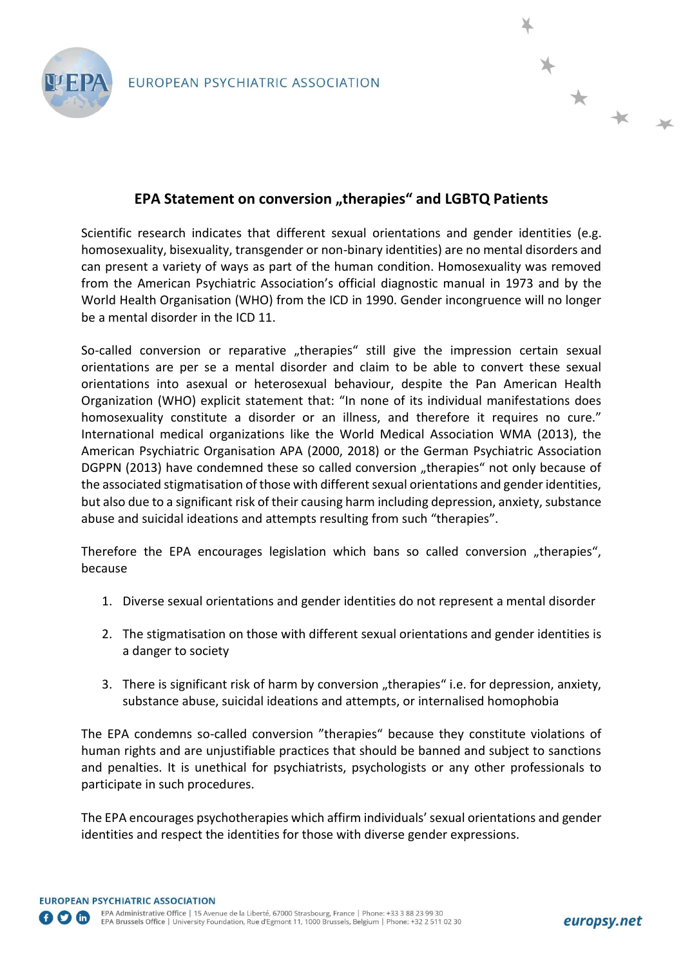

## **EPA Statement on conversion "therapies" and LGBTQ Patients**

Scientific research indicates that different sexual orientations and gender identities (e.g. homosexuality, bisexuality, transgender or non-binary identities) are no mental disorders and can present a variety of ways as part of the human condition. Homosexuality was removed from the American Psychiatric Association's official diagnostic manual in 1973 and by the World Health Organisation (WHO) from the ICD in 1990. Gender incongruence will no longer be a mental disorder in the ICD 11.

So-called conversion or reparative "therapies" still give the impression certain sexual orientations are per se a mental disorder and claim to be able to convert these sexual orientations into asexual or heterosexual behaviour, despite the Pan American Health Organization (WHO) explicit statement that: "In none of its individual manifestations does homosexuality constitute a disorder or an illness, and therefore it requires no cure." International medical organizations like the World Medical Association WMA (2013), the American Psychiatric Organisation APA (2000, 2018) or the German Psychiatric Association DGPPN (2013) have condemned these so called conversion "therapies" not only because of the associated stigmatisation of those with different sexual orientations and gender identities, but also due to a significant risk of their causing harm including depression, anxiety, substance abuse and suicidal ideations and attempts resulting from such "therapies".

Therefore the EPA encourages legislation which bans so called conversion "therapies", because

- 1. Diverse sexual orientations and gender identities do not represent a mental disorder
- 2. The stigmatisation on those with different sexual orientations and gender identities is a danger to society
- 3. There is significant risk of harm by conversion "therapies" i.e. for depression, anxiety, substance abuse, suicidal ideations and attempts, or internalised homophobia

The EPA condemns so-called conversion "therapies" because they constitute violations of human rights and are unjustifiable practices that should be banned and subject to sanctions and penalties. It is unethical for psychiatrists, psychologists or any other professionals to participate in such procedures.

The EPA encourages psychotherapies which affirm individuals' sexual orientations and gender identities and respect the identities for those with diverse gender expressions.

\* \* \*